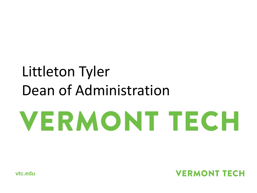# Littleton Tyler Dean of Administration**VERMONT TECH**

**vtc.edu**

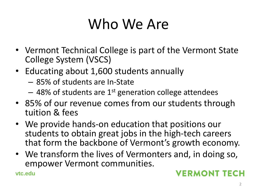# Who We Are

- Vermont Technical College is part of the Vermont State College System (VSCS)
- Educating about 1,600 students annually
	- 85% of students are In-State
	- $-$  48% of students are 1<sup>st</sup> generation college attendees
- 85% of our revenue comes from our students through tuition & fees
- We provide hands-on education that positions our students to obtain great jobs in the high-tech careers that form the backbone of Vermont's growth economy.
- We transform the lives of Vermonters and, in doing so, empower Vermont communities.

**vtc.edu**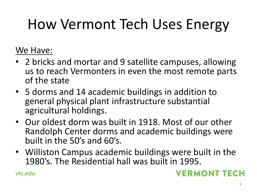# How Vermont Tech Uses Energy

### We Have:

- 2 bricks and mortar and 9 satellite campuses, allowing us to reach Vermonters in even the most remote parts of the state
- 5 dorms and 14 academic buildings in addition to general physical plant infrastructure substantial agricultural holdings.
- Our oldest dorm was built in 1918. Most of our other Randolph Center dorms and academic buildings were built in the 50's and 60's.
- Williston Campus academic buildings were built in the 1980's. The Residential hall was built in 1995.

**vtc.edu**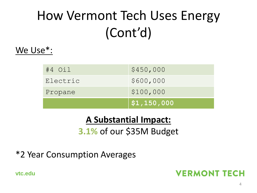# How Vermont Tech Uses Energy (Cont'd)

#### We Use\*:

|            | $\vert$ \$1,150,000 |
|------------|---------------------|
| Propane    | \$100,000           |
| Electric   | \$600,000           |
| $#4$ $Oi1$ | \$450,000           |

### **A Substantial Impact:**

### **3.1%** of our \$35M Budget

#### \*2 Year Consumption Averages

**vtc.edu**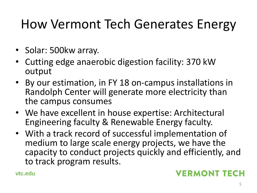# How Vermont Tech Generates Energy

- Solar: 500kw array.
- Cutting edge anaerobic digestion facility: 370 kW output
- By our estimation, in FY 18 on-campus installations in Randolph Center will generate more electricity than the campus consumes
- We have excellent in house expertise: Architectural Engineering faculty & Renewable Energy faculty.
- With a track record of successful implementation of medium to large scale energy projects, we have the capacity to conduct projects quickly and efficiently, and to track program results.

**vtc.edu**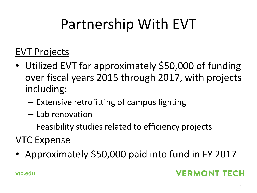# Partnership With EVT

### EVT Projects

- Utilized EVT for approximately \$50,000 of funding over fiscal years 2015 through 2017, with projects including:
	- Extensive retrofitting of campus lighting
	- Lab renovation
	- Feasibility studies related to efficiency projects

## VTC Expense

• Approximately \$50,000 paid into fund in FY 2017

### **VERMONT TECH**

**vtc.edu**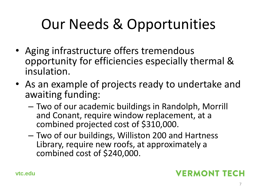# Our Needs & Opportunities

- Aging infrastructure offers tremendous opportunity for efficiencies especially thermal & insulation.
- As an example of projects ready to undertake and awaiting funding:
	- Two of our academic buildings in Randolph, Morrill and Conant, require window replacement, at a combined projected cost of \$310,000.
	- Two of our buildings, Williston 200 and Hartness Library, require new roofs, at approximately a combined cost of \$240,000.